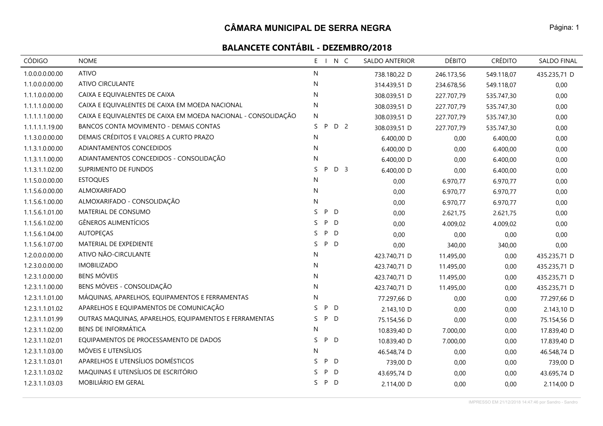| <b>CÓDIGO</b>   | <b>NOME</b>                                                    | E I N C                   | SALDO ANTERIOR | <b>DÉBITO</b> | <b>CRÉDITO</b> | <b>SALDO FINAL</b> |
|-----------------|----------------------------------------------------------------|---------------------------|----------------|---------------|----------------|--------------------|
| 1.0.0.0.0.00.00 | <b>ATIVO</b>                                                   | N                         | 738.180,22 D   | 246.173,56    | 549.118,07     | 435.235,71 D       |
| 1.1.0.0.0.00.00 | <b>ATIVO CIRCULANTE</b>                                        | N                         | 314.439,51 D   | 234.678,56    | 549.118,07     | 0,00               |
| 1.1.1.0.0.00.00 | CAIXA E EQUIVALENTES DE CAIXA                                  | ${\sf N}$                 | 308.039,51 D   | 227.707,79    | 535.747,30     | 0,00               |
| 1.1.1.1.0.00.00 | CAIXA E EQUIVALENTES DE CAIXA EM MOEDA NACIONAL                | N                         | 308.039,51 D   | 227.707,79    | 535.747,30     | 0,00               |
| 1.1.1.1.1.00.00 | CAIXA E EQUIVALENTES DE CAIXA EM MOEDA NACIONAL - CONSOLIDAÇÃO | N                         | 308.039,51 D   | 227.707,79    | 535.747,30     | 0,00               |
| 1.1.1.1.1.19.00 | BANCOS CONTA MOVIMENTO - DEMAIS CONTAS                         | S.<br>P<br>D 2            | 308.039,51 D   | 227.707,79    | 535.747,30     | 0,00               |
| 1.1.3.0.0.00.00 | DEMAIS CRÉDITOS E VALORES A CURTO PRAZO                        | ${\sf N}$                 | 6.400,00 D     | 0,00          | 6.400,00       | 0,00               |
| 1.1.3.1.0.00.00 | ADIANTAMENTOS CONCEDIDOS                                       | N                         | 6.400,00 D     | 0,00          | 6.400,00       | 0,00               |
| 1.1.3.1.1.00.00 | ADIANTAMENTOS CONCEDIDOS - CONSOLIDAÇÃO                        | N                         | 6.400,00 D     | 0,00          | 6.400,00       | 0,00               |
| 1.1.3.1.1.02.00 | SUPRIMENTO DE FUNDOS                                           | D <sub>3</sub><br>S.<br>P | 6.400,00 D     | 0,00          | 6.400,00       | 0,00               |
| 1.1.5.0.0.00.00 | <b>ESTOQUES</b>                                                | N                         | 0,00           | 6.970,77      | 6.970,77       | 0,00               |
| 1.1.5.6.0.00.00 | ALMOXARIFADO                                                   | N                         | 0,00           | 6.970,77      | 6.970,77       | 0,00               |
| 1.1.5.6.1.00.00 | ALMOXARIFADO - CONSOLIDAÇÃO                                    | ${\sf N}$                 | 0,00           | 6.970,77      | 6.970,77       | 0,00               |
| 1.1.5.6.1.01.00 | MATERIAL DE CONSUMO                                            | P D<br>S.                 | 0,00           | 2.621,75      | 2.621,75       | 0,00               |
| 1.1.5.6.1.02.00 | <b>GÊNEROS ALIMENTÍCIOS</b>                                    | P<br>S.<br>D              | 0,00           | 4.009,02      | 4.009,02       | 0,00               |
| 1.1.5.6.1.04.00 | AUTOPEÇAS                                                      | P<br>S.<br>$\mathsf{D}$   | 0,00           | 0,00          | 0,00           | 0,00               |
| 1.1.5.6.1.07.00 | MATERIAL DE EXPEDIENTE                                         | S<br>P D                  | 0,00           | 340,00        | 340,00         | 0,00               |
| 1.2.0.0.0.00.00 | ATIVO NÃO-CIRCULANTE                                           | N                         | 423.740,71 D   | 11.495,00     | 0,00           | 435.235,71 D       |
| 1.2.3.0.0.00.00 | <b>IMOBILIZADO</b>                                             | N                         | 423.740,71 D   | 11.495,00     | 0,00           | 435.235,71 D       |
| 1.2.3.1.0.00.00 | <b>BENS MÓVEIS</b>                                             | N                         | 423.740,71 D   | 11.495,00     | 0,00           | 435.235,71 D       |
| 1.2.3.1.1.00.00 | BENS MÓVEIS - CONSOLIDAÇÃO                                     | N                         | 423.740,71 D   | 11.495,00     | 0,00           | 435.235,71 D       |
| 1.2.3.1.1.01.00 | MÁQUINAS, APARELHOS, EQUIPAMENTOS E FERRAMENTAS                | N                         | 77.297,66 D    | 0,00          | 0,00           | 77.297,66 D        |
| 1.2.3.1.1.01.02 | APARELHOS E EQUIPAMENTOS DE COMUNICAÇÃO                        | P D<br>S.                 | 2.143,10 D     | 0,00          | 0,00           | 2.143,10 D         |
| 1.2.3.1.1.01.99 | OUTRAS MAQUINAS, APARELHOS, EQUIPAMENTOS E FERRAMENTAS         | S.<br>P D                 | 75.154,56 D    | 0,00          | 0,00           | 75.154,56 D        |
| 1.2.3.1.1.02.00 | <b>BENS DE INFORMÁTICA</b>                                     | N                         | 10.839,40 D    | 7.000,00      | 0,00           | 17.839,40 D        |
| 1.2.3.1.1.02.01 | EQUIPAMENTOS DE PROCESSAMENTO DE DADOS                         | S<br>P D                  | 10.839,40 D    | 7.000,00      | 0,00           | 17.839,40 D        |
| 1.2.3.1.1.03.00 | MÓVEIS E UTENSÍLIOS                                            | N                         | 46.548,74 D    | 0,00          | 0,00           | 46.548,74 D        |
| 1.2.3.1.1.03.01 | APARELHOS E UTENSÍLIOS DOMÉSTICOS                              | $\mathsf{S}$<br>P D       | 739,00 D       | 0,00          | 0,00           | 739,00 D           |
| 1.2.3.1.1.03.02 | MAQUINAS E UTENSÍLIOS DE ESCRITÓRIO                            | P D<br>S                  | 43.695,74 D    | 0,00          | 0,00           | 43.695,74 D        |
| 1.2.3.1.1.03.03 | MOBILIÁRIO EM GERAL                                            | P D<br>S.                 | 2.114,00 D     | 0,00          | 0,00           | 2.114,00 D         |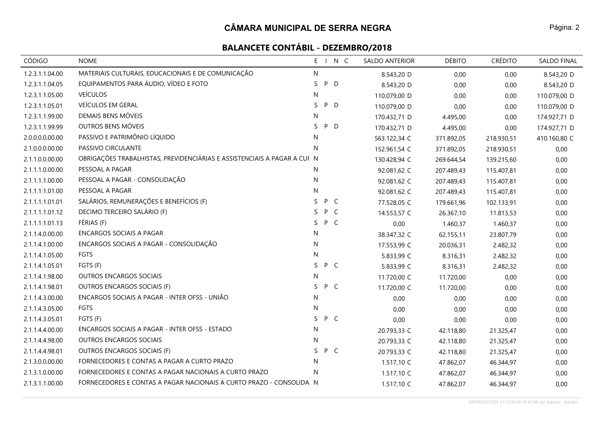| CÓDIGO          | <b>NOME</b>                                                              |              |     | E I N C | SALDO ANTERIOR | <b>DÉBITO</b> | <b>CRÉDITO</b> | SALDO FINAL  |
|-----------------|--------------------------------------------------------------------------|--------------|-----|---------|----------------|---------------|----------------|--------------|
| 1.2.3.1.1.04.00 | MATERIAIS CULTURAIS, EDUCACIONAIS E DE COMUNICAÇÃO                       | $\mathsf{N}$ |     |         | 8.543,20 D     | 0,00          | 0,00           | 8.543,20 D   |
| 1.2.3.1.1.04.05 | EQUIPAMENTOS PARA ÁUDIO, VÍDEO E FOTO                                    | S.           | P   | D       | 8.543,20 D     | 0,00          | 0,00           | 8.543,20 D   |
| 1.2.3.1.1.05.00 | <b>VEÍCULOS</b>                                                          | N            |     |         | 110.079,00 D   | 0,00          | 0,00           | 110.079,00 D |
| 1.2.3.1.1.05.01 | VEÍCULOS EM GERAL                                                        | S            | P D |         | 110.079,00 D   | 0,00          | 0,00           | 110.079,00 D |
| 1.2.3.1.1.99.00 | DEMAIS BENS MÓVEIS                                                       | N            |     |         | 170.432,71 D   | 4.495,00      | 0,00           | 174.927,71 D |
| 1.2.3.1.1.99.99 | OUTROS BENS MÓVEIS                                                       | S            | P D |         | 170.432,71 D   | 4.495,00      | 0,00           | 174.927,71 D |
| 2.0.0.0.0.00.00 | PASSIVO E PATRIMÔNIO LÍQUIDO                                             | ${\sf N}$    |     |         | 563.122,34 C   | 371.892,05    | 218.930,51     | 410.160,80 C |
| 2.1.0.0.0.00.00 | PASSIVO CIRCULANTE                                                       | N            |     |         | 152.961,54 C   | 371.892,05    | 218.930,51     | 0,00         |
| 2.1.1.0.0.00.00 | OBRIGAÇÕES TRABALHISTAS, PREVIDENCIÁRIAS E ASSISTENCIAIS A PAGAR A CUI N |              |     |         | 130.428,94 C   | 269.644,54    | 139.215,60     | 0,00         |
| 2.1.1.1.0.00.00 | PESSOAL A PAGAR                                                          | N            |     |         | 92.081,62 C    | 207.489,43    | 115.407,81     | 0,00         |
| 2.1.1.1.1.00.00 | PESSOAL A PAGAR - CONSOLIDAÇÃO                                           | N            |     |         | 92.081,62 C    | 207.489,43    | 115.407,81     | 0,00         |
| 2.1.1.1.1.01.00 | PESSOAL A PAGAR                                                          | $\mathsf{N}$ |     |         | 92.081,62 C    | 207.489,43    | 115.407,81     | 0,00         |
| 2.1.1.1.1.01.01 | SALÁRIOS, REMUNERAÇÕES E BENEFÍCIOS (F)                                  | S P C        |     |         | 77.528,05 C    | 179.661,96    | 102.133,91     | 0,00         |
| 2.1.1.1.1.01.12 | DECIMO TERCEIRO SALÁRIO (F)                                              | S P C        |     |         | 14.553,57 C    | 26.367,10     | 11.813,53      | 0,00         |
| 2.1.1.1.1.01.13 | FÉRIAS (F)                                                               | S.           | P C |         | 0,00           | 1.460,37      | 1.460,37       | 0,00         |
| 2.1.1.4.0.00.00 | ENCARGOS SOCIAIS A PAGAR                                                 | N            |     |         | 38.347,32 C    | 62.155,11     | 23.807,79      | 0,00         |
| 2.1.1.4.1.00.00 | ENCARGOS SOCIAIS A PAGAR - CONSOLIDAÇÃO                                  | N            |     |         | 17.553,99 C    | 20.036,31     | 2.482,32       | 0,00         |
| 2.1.1.4.1.05.00 | <b>FGTS</b>                                                              | $\mathsf{N}$ |     |         | 5.833,99 C     | 8.316,31      | 2.482,32       | 0,00         |
| 2.1.1.4.1.05.01 | FGTS (F)                                                                 | S P C        |     |         | 5.833,99 C     | 8.316,31      | 2.482,32       | 0,00         |
| 2.1.1.4.1.98.00 | <b>OUTROS ENCARGOS SOCIAIS</b>                                           | N            |     |         | 11.720,00 C    | 11.720,00     | 0,00           | 0,00         |
| 2.1.1.4.1.98.01 | OUTROS ENCARGOS SOCIAIS (F)                                              | S.           | P C |         | 11.720,00 C    | 11.720,00     | 0,00           | 0,00         |
| 2.1.1.4.3.00.00 | ENCARGOS SOCIAIS A PAGAR - INTER OFSS - UNIÃO                            | N            |     |         | 0,00           | 0,00          | 0,00           | 0,00         |
| 2.1.1.4.3.05.00 | FGTS                                                                     | N            |     |         | 0,00           | 0,00          | 0,00           | 0,00         |
| 2.1.1.4.3.05.01 | FGTS (F)                                                                 | S            | P C |         | 0,00           | 0,00          | 0,00           | 0,00         |
| 2.1.1.4.4.00.00 | ENCARGOS SOCIAIS A PAGAR - INTER OFSS - ESTADO                           | $\mathsf{N}$ |     |         | 20.793,33 C    | 42.118,80     | 21.325,47      | 0,00         |
| 2.1.1.4.4.98.00 | <b>OUTROS ENCARGOS SOCIAIS</b>                                           | N            |     |         | 20.793,33 C    | 42.118,80     | 21.325,47      | 0,00         |
| 2.1.1.4.4.98.01 | OUTROS ENCARGOS SOCIAIS (F)                                              | S.           | P C |         | 20.793,33 C    | 42.118,80     | 21.325,47      | 0,00         |
| 2.1.3.0.0.00.00 | FORNECEDORES E CONTAS A PAGAR A CURTO PRAZO                              | $\mathsf{N}$ |     |         | 1.517,10 C     | 47.862,07     | 46.344,97      | 0,00         |
| 2.1.3.1.0.00.00 | FORNECEDORES E CONTAS A PAGAR NACIONAIS A CURTO PRAZO                    | N            |     |         | 1.517,10 C     | 47.862,07     | 46.344,97      | 0,00         |
| 2.1.3.1.1.00.00 | FORNECEDORES E CONTAS A PAGAR NACIONAIS A CURTO PRAZO - CONSOLIDA N      |              |     |         | 1.517,10 C     | 47.862,07     | 46.344,97      | 0,00         |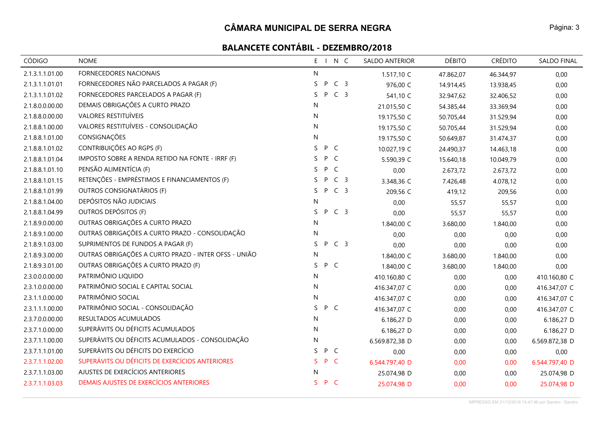| <b>CÓDIGO</b>   | <b>NOME</b>                                          | E.<br>INC                 | <b>SALDO ANTERIOR</b> | <b>DÉBITO</b> | <b>CRÉDITO</b> | <b>SALDO FINAL</b> |
|-----------------|------------------------------------------------------|---------------------------|-----------------------|---------------|----------------|--------------------|
| 2.1.3.1.1.01.00 | <b>FORNECEDORES NACIONAIS</b>                        | $\mathsf{N}$              | 1.517,10 C            | 47.862,07     | 46.344,97      | 0,00               |
| 2.1.3.1.1.01.01 | FORNECEDORES NÃO PARCELADOS A PAGAR (F)              | C <sub>3</sub><br>S<br>P  | 976,00 C              | 14.914,45     | 13.938,45      | 0,00               |
| 2.1.3.1.1.01.02 | FORNECEDORES PARCELADOS A PAGAR (F)                  | C <sub>3</sub><br>S<br>P  | 541,10 C              | 32.947,62     | 32.406,52      | 0,00               |
| 2.1.8.0.0.00.00 | DEMAIS OBRIGAÇÕES A CURTO PRAZO                      | N                         | 21.015,50 C           | 54.385,44     | 33.369,94      | 0,00               |
| 2.1.8.8.0.00.00 | VALORES RESTITUÍVEIS                                 | ${\sf N}$                 | 19.175,50 C           | 50.705,44     | 31.529,94      | 0,00               |
| 2.1.8.8.1.00.00 | VALORES RESTITUÍVEIS - CONSOLIDAÇÃO                  | ${\sf N}$                 | 19.175,50 C           | 50.705,44     | 31.529,94      | 0,00               |
| 2.1.8.8.1.01.00 | CONSIGNAÇÕES                                         | ${\sf N}$                 | 19.175,50 C           | 50.649,87     | 31.474,37      | 0,00               |
| 2.1.8.8.1.01.02 | CONTRIBUIÇÕES AO RGPS (F)                            | S.<br>P C                 | 10.027,19 C           | 24.490,37     | 14.463,18      | 0,00               |
| 2.1.8.8.1.01.04 | IMPOSTO SOBRE A RENDA RETIDO NA FONTE - IRRF (F)     | S<br>P<br>$\mathsf{C}$    | 5.590,39 C            | 15.640,18     | 10.049,79      | 0,00               |
| 2.1.8.8.1.01.10 | PENSÃO ALIMENTÍCIA (F)                               | P<br>C<br>S               | 0,00                  | 2.673,72      | 2.673,72       | 0,00               |
| 2.1.8.8.1.01.15 | RETENÇÕES - EMPRÉSTIMOS E FINANCIAMENTOS (F)         | C <sub>3</sub><br>S.<br>P | 3.348,36 C            | 7.426,48      | 4.078,12       | 0,00               |
| 2.1.8.8.1.01.99 | OUTROS CONSIGNATÁRIOS (F)                            | C <sub>3</sub><br>P<br>S. | 209,56 C              | 419,12        | 209,56         | 0,00               |
| 2.1.8.8.1.04.00 | DEPÓSITOS NÃO JUDICIAIS                              | ${\sf N}$                 | 0,00                  | 55,57         | 55,57          | 0,00               |
| 2.1.8.8.1.04.99 | OUTROS DEPÓSITOS (F)                                 | P C 3<br>S.               | 0,00                  | 55,57         | 55,57          | 0,00               |
| 2.1.8.9.0.00.00 | OUTRAS OBRIGAÇÕES A CURTO PRAZO                      | ${\sf N}$                 | 1.840,00 C            | 3.680,00      | 1.840,00       | 0,00               |
| 2.1.8.9.1.00.00 | OUTRAS OBRIGAÇÕES A CURTO PRAZO - CONSOLIDAÇÃO       | N                         | 0,00                  | 0,00          | 0,00           | 0,00               |
| 2.1.8.9.1.03.00 | SUPRIMENTOS DE FUNDOS A PAGAR (F)                    | S.<br>P<br>C <sub>3</sub> | 0,00                  | 0,00          | 0,00           | 0,00               |
| 2.1.8.9.3.00.00 | OUTRAS OBRIGAÇÕES A CURTO PRAZO - INTER OFSS - UNIÃO | N                         | 1.840,00 C            | 3.680,00      | 1.840,00       | 0,00               |
| 2.1.8.9.3.01.00 | OUTRAS OBRIGAÇÕES A CURTO PRAZO (F)                  | P C<br>S                  | 1.840,00 C            | 3.680,00      | 1.840,00       | 0,00               |
| 2.3.0.0.0.00.00 | PATRIMÔNIO LIQUIDO                                   | N                         | 410.160,80 C          | 0,00          | 0,00           | 410.160,80 C       |
| 2.3.1.0.0.00.00 | PATRIMÔNIO SOCIAL E CAPITAL SOCIAL                   | ${\sf N}$                 | 416.347,07 C          | 0,00          | 0,00           | 416.347,07 C       |
| 2.3.1.1.0.00.00 | PATRIMÔNIO SOCIAL                                    | N                         | 416.347,07 C          | 0,00          | 0,00           | 416.347,07 C       |
| 2.3.1.1.1.00.00 | PATRIMÔNIO SOCIAL - CONSOLIDAÇÃO                     | S<br>P C                  | 416.347,07 C          | 0,00          | 0,00           | 416.347,07 C       |
| 2.3.7.0.0.00.00 | RESULTADOS ACUMULADOS                                | N                         | 6.186,27 D            | 0,00          | 0,00           | 6.186,27 D         |
| 2.3.7.1.0.00.00 | SUPERÁVITS OU DÉFICITS ACUMULADOS                    | ${\sf N}$                 | 6.186,27 D            | 0,00          | 0,00           | 6.186,27 D         |
| 2.3.7.1.1.00.00 | SUPERÁVITS OU DÉFICITS ACUMULADOS - CONSOLIDAÇÃO     | ${\sf N}$                 | 6.569.872,38 D        | 0,00          | 0,00           | 6.569.872,38 D     |
| 2.3.7.1.1.01.00 | SUPERÁVITS OU DÉFICITS DO EXERCÍCIO                  | S<br>P C                  | 0,00                  | 0,00          | 0,00           | 0,00               |
| 2.3.7.1.1.02.00 | SUPERÁVITS OU DÉFICITS DE EXERCÍCIOS ANTERIORES      | S.<br>P<br><sub>C</sub>   | 6.544.797,40 D        | 0,00          | 0,00           | 6.544.797,40 D     |
| 2.3.7.1.1.03.00 | AJUSTES DE EXERCÍCIOS ANTERIORES                     | N                         | 25.074,98 D           | 0,00          | 0,00           | 25.074,98 D        |
| 2.3.7.1.1.03.03 | DEMAIS AJUSTES DE EXERCÍCIOS ANTERIORES              | S.<br>P C                 | 25.074,98 D           | 0,00          | 0,00           | 25.074,98 D        |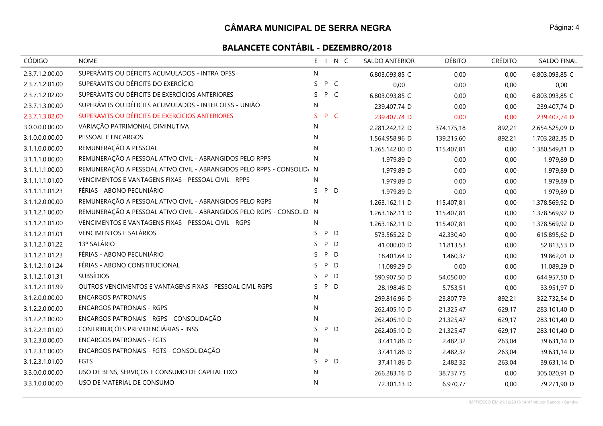# **BALANCETE CONTÁBIL - DEZEMBRO/2018**

| <b>CÓDIGO</b>   | <b>NOME</b>                                                            |           |     | E I N C      | SALDO ANTERIOR | <b>DÉBITO</b> | <b>CRÉDITO</b> | SALDO FINAL    |
|-----------------|------------------------------------------------------------------------|-----------|-----|--------------|----------------|---------------|----------------|----------------|
| 2.3.7.1.2.00.00 | SUPERÁVITS OU DÉFICITS ACUMULADOS - INTRA OFSS                         | N         |     |              | 6.803.093,85 C | 0,00          | 0,00           | 6.803.093,85 C |
| 2.3.7.1.2.01.00 | SUPERÁVITS OU DÉFICITS DO EXERCÍCIO                                    | S         | P   | $\mathsf{C}$ | 0,00           | 0,00          | 0,00           | 0,00           |
| 2.3.7.1.2.02.00 | SUPERÁVITS OU DÉFICITS DE EXERCÍCIOS ANTERIORES                        | S.        | P C |              | 6.803.093,85 C | 0,00          | 0,00           | 6.803.093,85 C |
| 2.3.7.1.3.00.00 | SUPERÁVITS OU DÉFICITS ACUMULADOS - INTER OFSS - UNIÃO                 | ${\sf N}$ |     |              | 239.407,74 D   | 0,00          | 0,00           | 239.407,74 D   |
| 2.3.7.1.3.02.00 | SUPERÁVITS OU DÉFICITS DE EXERCÍCIOS ANTERIORES                        | S.        | P C |              | 239.407,74 D   | 0,00          | 0,00           | 239.407,74 D   |
| 3.0.0.0.0.00.00 | VARIAÇÃO PATRIMONIAL DIMINUTIVA                                        | N         |     |              | 2.281.242,12 D | 374.175,18    | 892,21         | 2.654.525,09 D |
| 3.1.0.0.0.00.00 | PESSOAL E ENCARGOS                                                     | N         |     |              | 1.564.958,96 D | 139.215,60    | 892,21         | 1.703.282,35 D |
| 3.1.1.0.0.00.00 | REMUNERAÇÃO A PESSOAL                                                  | ${\sf N}$ |     |              | 1.265.142,00 D | 115.407,81    | 0,00           | 1.380.549,81 D |
| 3.1.1.1.0.00.00 | REMUNERAÇÃO A PESSOAL ATIVO CIVIL - ABRANGIDOS PELO RPPS               | ${\sf N}$ |     |              | 1.979,89 D     | 0,00          | 0,00           | 1.979,89 D     |
| 3.1.1.1.1.00.00 | REMUNERAÇÃO A PESSOAL ATIVO CIVIL - ABRANGIDOS PELO RPPS - CONSOLID/ N |           |     |              | 1.979,89 D     | 0,00          | 0,00           | 1.979,89 D     |
| 3.1.1.1.1.01.00 | VENCIMENTOS E VANTAGENS FIXAS - PESSOAL CIVIL - RPPS                   | N         |     |              | 1.979,89 D     | 0,00          | 0,00           | 1.979,89 D     |
| 3.1.1.1.1.01.23 | FÉRIAS - ABONO PECUNIÁRIO                                              | S.        | P D |              | 1.979,89 D     | 0,00          | 0,00           | 1.979,89 D     |
| 3.1.1.2.0.00.00 | REMUNERAÇÃO A PESSOAL ATIVO CIVIL - ABRANGIDOS PELO RGPS               | N         |     |              | 1.263.162,11 D | 115.407,81    | 0,00           | 1.378.569,92 D |
| 3.1.1.2.1.00.00 | REMUNERAÇÃO A PESSOAL ATIVO CIVIL - ABRANGIDOS PELO RGPS - CONSOLID. N |           |     |              | 1.263.162,11 D | 115.407,81    | 0,00           | 1.378.569,92 D |
| 3.1.1.2.1.01.00 | VENCIMENTOS E VANTAGENS FIXAS - PESSOAL CIVIL - RGPS                   | N         |     |              | 1.263.162,11 D | 115.407,81    | 0,00           | 1.378.569,92 D |
| 3.1.1.2.1.01.01 | VENCIMENTOS E SALÁRIOS                                                 | S         | P D |              | 573.565,22 D   | 42.330,40     | 0,00           | 615.895,62 D   |
| 3.1.1.2.1.01.22 | 13º SALÁRIO                                                            | S.        | P   | D            | 41.000,00 D    | 11.813,53     | 0,00           | 52.813,53 D    |
| 3.1.1.2.1.01.23 | FÉRIAS - ABONO PECUNIÁRIO                                              | S.        | P D |              | 18.401,64 D    | 1.460,37      | 0,00           | 19.862,01 D    |
| 3.1.1.2.1.01.24 | FÉRIAS - ABONO CONSTITUCIONAL                                          | S.        | P D |              | 11.089,29 D    | 0,00          | 0,00           | 11.089,29 D    |
| 3.1.1.2.1.01.31 | <b>SUBSÍDIOS</b>                                                       | S.        | P   | D            | 590.907,50 D   | 54.050,00     | 0,00           | 644.957,50 D   |
| 3.1.1.2.1.01.99 | OUTROS VENCIMENTOS E VANTAGENS FIXAS - PESSOAL CIVIL RGPS              | S.        | P D |              | 28.198,46 D    | 5.753,51      | 0,00           | 33.951,97 D    |
| 3.1.2.0.0.00.00 | <b>ENCARGOS PATRONAIS</b>                                              | N         |     |              | 299.816,96 D   | 23.807,79     | 892,21         | 322.732,54 D   |
| 3.1.2.2.0.00.00 | <b>ENCARGOS PATRONAIS - RGPS</b>                                       | N.        |     |              | 262.405,10 D   | 21.325,47     | 629,17         | 283.101,40 D   |
| 3.1.2.2.1.00.00 | ENCARGOS PATRONAIS - RGPS - CONSOLIDAÇÃO                               | N         |     |              | 262.405,10 D   | 21.325,47     | 629,17         | 283.101,40 D   |
| 3.1.2.2.1.01.00 | CONTRIBUIÇÕES PREVIDENCIÁRIAS - INSS                                   | S.        | P D |              | 262.405,10 D   | 21.325,47     | 629,17         | 283.101,40 D   |
| 3.1.2.3.0.00.00 | <b>ENCARGOS PATRONAIS - FGTS</b>                                       | ${\sf N}$ |     |              | 37.411,86 D    | 2.482,32      | 263,04         | 39.631,14 D    |
| 3.1.2.3.1.00.00 | ENCARGOS PATRONAIS - FGTS - CONSOLIDAÇÃO                               | N         |     |              | 37.411,86 D    | 2.482,32      | 263,04         | 39.631,14 D    |
| 3.1.2.3.1.01.00 | <b>FGTS</b>                                                            | S.        | P D |              | 37.411,86 D    | 2.482,32      | 263,04         | 39.631,14 D    |
| 3.3.0.0.0.00.00 | USO DE BENS, SERVIÇOS E CONSUMO DE CAPITAL FIXO                        | N         |     |              | 266.283,16 D   | 38.737,75     | 0,00           | 305.020,91 D   |
| 3.3.1.0.0.00.00 | USO DE MATERIAL DE CONSUMO                                             | N         |     |              | 72.301,13 D    | 6.970,77      | 0,00           | 79.271,90 D    |

Página: 4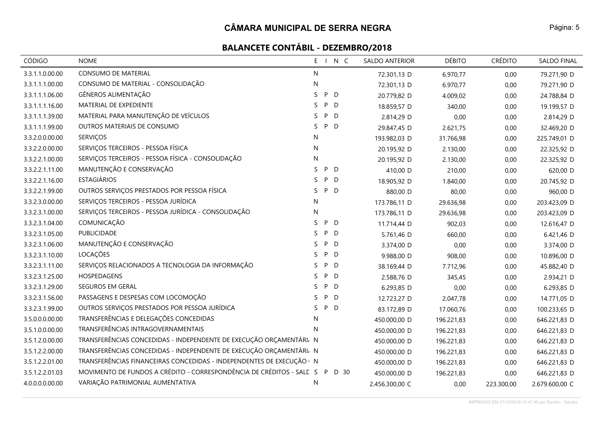# **BALANCETE CONTÁBIL - DEZEMBRO/2018**

| CÓDIGO          | <b>NOME</b>                                                            | $E = 1$      | N C               | <b>SALDO ANTERIOR</b> | <b>DÉBITO</b> | <b>CRÉDITO</b> | <b>SALDO FINAL</b> |
|-----------------|------------------------------------------------------------------------|--------------|-------------------|-----------------------|---------------|----------------|--------------------|
| 3.3.1.1.0.00.00 | <b>CONSUMO DE MATERIAL</b>                                             | N            |                   | 72.301,13 D           | 6.970,77      | 0,00           | 79.271,90 D        |
| 3.3.1.1.1.00.00 | CONSUMO DE MATERIAL - CONSOLIDAÇÃO                                     | N            |                   | 72.301,13 D           | 6.970,77      | 0,00           | 79.271,90 D        |
| 3.3.1.1.1.06.00 | GÊNEROS ALIMENTAÇÃO                                                    | S            | P D               | 20.779,82 D           | 4.009,02      | 0,00           | 24.788,84 D        |
| 3.3.1.1.1.16.00 | MATERIAL DE EXPEDIENTE                                                 | S.           | P<br>D            | 18.859,57 D           | 340,00        | 0,00           | 19.199,57 D        |
| 3.3.1.1.1.39.00 | MATERIAL PARA MANUTENÇÃO DE VEÍCULOS                                   | S            | P<br>D            | 2.814,29 D            | 0,00          | 0,00           | 2.814,29 D         |
| 3.3.1.1.1.99.00 | OUTROS MATERIAIS DE CONSUMO                                            | S.           | P<br>D            | 29.847,45 D           | 2.621,75      | 0,00           | 32.469,20 D        |
| 3.3.2.0.0.00.00 | <b>SERVIÇOS</b>                                                        | N            |                   | 193.982,03 D          | 31.766,98     | 0,00           | 225.749,01 D       |
| 3.3.2.2.0.00.00 | SERVIÇOS TERCEIROS - PESSOA FÍSICA                                     | N            |                   | 20.195,92 D           | 2.130,00      | 0,00           | 22.325,92 D        |
| 3.3.2.2.1.00.00 | SERVIÇOS TERCEIROS - PESSOA FÍSICA - CONSOLIDAÇÃO                      | N            |                   | 20.195,92 D           | 2.130,00      | 0,00           | 22.325,92 D        |
| 3.3.2.2.1.11.00 | MANUTENÇÃO E CONSERVAÇÃO                                               | S            | P<br>D            | 410,00 D              | 210,00        | 0,00           | 620,00 D           |
| 3.3.2.2.1.16.00 | <b>ESTAGIÁRIOS</b>                                                     | S.           | P<br>D            | 18.905,92 D           | 1.840,00      | 0,00           | 20.745,92 D        |
| 3.3.2.2.1.99.00 | OUTROS SERVIÇOS PRESTADOS POR PESSOA FÍSICA                            | S.           | P<br>D            | 880,00 D              | 80,00         | 0,00           | 960,00 D           |
| 3.3.2.3.0.00.00 | SERVIÇOS TERCEIROS - PESSOA JURÍDICA                                   | N            |                   | 173.786,11 D          | 29.636,98     | 0,00           | 203.423,09 D       |
| 3.3.2.3.1.00.00 | SERVIÇOS TERCEIROS - PESSOA JURÍDICA - CONSOLIDAÇÃO                    | N            |                   | 173.786,11 D          | 29.636,98     | 0,00           | 203.423,09 D       |
| 3.3.2.3.1.04.00 | COMUNICAÇÃO                                                            | S.           | P<br>D            | 11.714,44 D           | 902,03        | 0,00           | 12.616,47 D        |
| 3.3.2.3.1.05.00 | PUBLICIDADE                                                            | S            | P<br>D            | 5.761,46 D            | 660,00        | 0,00           | 6.421,46 D         |
| 3.3.2.3.1.06.00 | MANUTENÇÃO E CONSERVAÇÃO                                               | S.           | P<br>D            | 3.374,00 D            | 0,00          | 0,00           | 3.374,00 D         |
| 3.3.2.3.1.10.00 | LOCAÇÕES                                                               | S.           | P D               | 9.988,00 D            | 908,00        | 0,00           | 10.896,00 D        |
| 3.3.2.3.1.11.00 | SERVIÇOS RELACIONADOS A TECNOLOGIA DA INFORMAÇÃO                       | S.           | P D               | 38.169,44 D           | 7.712,96      | 0,00           | 45.882,40 D        |
| 3.3.2.3.1.25.00 | HOSPEDAGENS                                                            | S.           | P<br>D            | 2.588,76 D            | 345,45        | 0,00           | 2.934,21 D         |
| 3.3.2.3.1.29.00 | SEGUROS EM GERAL                                                       | S.           | P<br>$\mathsf{D}$ | 6.293,85 D            | 0,00          | 0,00           | 6.293,85 D         |
| 3.3.2.3.1.56.00 | PASSAGENS E DESPESAS COM LOCOMOÇÃO                                     | S            | P<br>D            | 12.723,27 D           | 2.047,78      | 0,00           | 14.771,05 D        |
| 3.3.2.3.1.99.00 | OUTROS SERVIÇOS PRESTADOS POR PESSOA JURÍDICA                          | S.           | P D               | 83.172,89 D           | 17.060,76     | 0,00           | 100.233,65 D       |
| 3.5.0.0.0.00.00 | TRANSFERÊNCIAS E DELEGAÇÕES CONCEDIDAS                                 | N            |                   | 450.000,00 D          | 196.221,83    | 0,00           | 646.221,83 D       |
| 3.5.1.0.0.00.00 | TRANSFERÊNCIAS INTRAGOVERNAMENTAIS                                     | N            |                   | 450.000,00 D          | 196.221,83    | 0,00           | 646.221,83 D       |
| 3.5.1.2.0.00.00 | TRANSFERÊNCIAS CONCEDIDAS - INDEPENDENTE DE EXECUÇÃO ORÇAMENTÁRI N     |              |                   | 450.000,00 D          | 196.221,83    | 0,00           | 646.221,83 D       |
| 3.5.1.2.2.00.00 | TRANSFERÊNCIAS CONCEDIDAS - INDEPENDENTE DE EXECUÇÃO ORÇAMENTÁRI N     |              |                   | 450.000,00 D          | 196.221,83    | 0,00           | 646.221,83 D       |
| 3.5.1.2.2.01.00 | TRANSFERÊNCIAS FINANCEIRAS CONCEDIDAS - INDEPENDENTES DE EXECUÇÃO DI   |              |                   | 450.000,00 D          | 196.221,83    | 0,00           | 646.221,83 D       |
| 3.5.1.2.2.01.03 | MOVIMENTO DE FUNDOS A CRÉDITO - CORRESPONDÊNCIA DE CRÉDITOS - SALL S P |              | D 30              | 450.000,00 D          | 196.221,83    | 0,00           | 646.221,83 D       |
| 4.0.0.0.0.00.00 | VARIAÇÃO PATRIMONIAL AUMENTATIVA                                       | $\mathsf{N}$ |                   | 2.456.300,00 C        | 0,00          | 223.300,00     | 2.679.600,00 C     |

IMPRESSO EM 21/12/2018 14:47:46 por Sandro - Sandro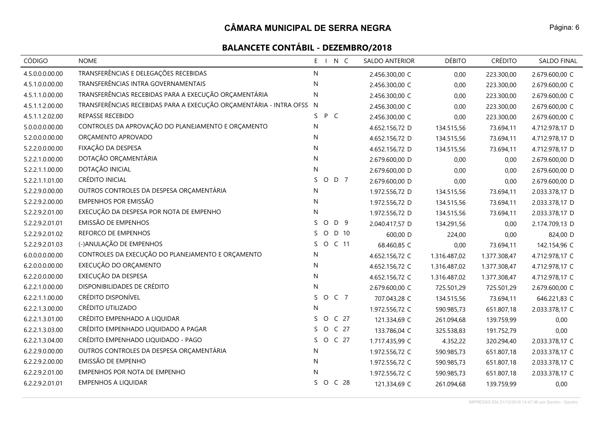| CÓDIGO          | <b>NOME</b>                                                          | E I N C               | <b>SALDO ANTERIOR</b> | <b>DÉBITO</b> | <b>CRÉDITO</b> | SALDO FINAL    |
|-----------------|----------------------------------------------------------------------|-----------------------|-----------------------|---------------|----------------|----------------|
| 4.5.0.0.0.00.00 | TRANSFERÊNCIAS E DELEGAÇÕES RECEBIDAS                                | N                     | 2.456.300,00 C        | 0,00          | 223.300,00     | 2.679.600,00 C |
| 4.5.1.0.0.00.00 | TRANSFERÊNCIAS INTRA GOVERNAMENTAIS                                  | N                     | 2.456.300,00 C        | 0,00          | 223.300,00     | 2.679.600,00 C |
| 4.5.1.1.0.00.00 | TRANSFERÊNCIAS RECEBIDAS PARA A EXECUÇÃO ORÇAMENTÁRIA                | N                     | 2.456.300,00 C        | 0,00          | 223.300,00     | 2.679.600,00 C |
| 4.5.1.1.2.00.00 | TRANSFERÊNCIAS RECEBIDAS PARA A EXECUÇÃO ORÇAMENTÁRIA - INTRA OFSS N |                       | 2.456.300,00 C        | 0,00          | 223.300,00     | 2.679.600,00 C |
| 4.5.1.1.2.02.00 | REPASSE RECEBIDO                                                     | P C<br>S.             | 2.456.300,00 C        | 0,00          | 223.300,00     | 2.679.600,00 C |
| 5.0.0.0.0.00.00 | CONTROLES DA APROVAÇÃO DO PLANEJAMENTO E ORÇAMENTO                   | N                     | 4.652.156,72 D        | 134.515,56    | 73.694,11      | 4.712.978,17 D |
| 5.2.0.0.0.00.00 | ORÇAMENTO APROVADO                                                   | N.                    | 4.652.156,72 D        | 134.515,56    | 73.694,11      | 4.712.978,17 D |
| 5.2.2.0.0.00.00 | FIXAÇÃO DA DESPESA                                                   | N                     | 4.652.156,72 D        | 134.515,56    | 73.694,11      | 4.712.978,17 D |
| 5.2.2.1.0.00.00 | DOTAÇÃO ORÇAMENTÁRIA                                                 | N                     | 2.679.600,00 D        | 0,00          | 0,00           | 2.679.600,00 D |
| 5.2.2.1.1.00.00 | DOTAÇÃO INICIAL                                                      | $\mathsf{N}$          | 2.679.600,00 D        | 0,00          | 0,00           | 2.679.600,00 D |
| 5.2.2.1.1.01.00 | CRÉDITO INICIAL                                                      | S.<br>O D 7           | 2.679.600,00 D        | 0,00          | 0,00           | 2.679.600,00 D |
| 5.2.2.9.0.00.00 | OUTROS CONTROLES DA DESPESA ORÇAMENTÁRIA                             | N                     | 1.972.556,72 D        | 134.515,56    | 73.694,11      | 2.033.378,17 D |
| 5.2.2.9.2.00.00 | EMPENHOS POR EMISSÃO                                                 | N.                    | 1.972.556,72 D        | 134.515,56    | 73.694,11      | 2.033.378,17 D |
| 5.2.2.9.2.01.00 | EXECUÇÃO DA DESPESA POR NOTA DE EMPENHO                              | N                     | 1.972.556,72 D        | 134.515,56    | 73.694,11      | 2.033.378,17 D |
| 5.2.2.9.2.01.01 | EMISSÃO DE EMPENHOS                                                  | S<br>D 9<br>$\circ$   | 2.040.417,57 D        | 134.291,56    | 0,00           | 2.174.709,13 D |
| 5.2.2.9.2.01.02 | REFORCO DE EMPENHOS                                                  | S.<br>$\circ$<br>D 10 | 600,00 D              | 224,00        | 0,00           | 824,00 D       |
| 5.2.2.9.2.01.03 | (-)ANULAÇÃO DE EMPENHOS                                              | S O C 11              | 68.460,85 C           | 0,00          | 73.694,11      | 142.154,96 C   |
| 6.0.0.0.0.00.00 | CONTROLES DA EXECUÇÃO DO PLANEJAMENTO E ORÇAMENTO                    | N                     | 4.652.156,72 C        | 1.316.487,02  | 1.377.308,47   | 4.712.978,17 C |
| 6.2.0.0.0.00.00 | EXECUÇÃO DO ORÇAMENTO                                                | N                     | 4.652.156,72 C        | 1.316.487,02  | 1.377.308,47   | 4.712.978,17 C |
| 6.2.2.0.0.00.00 | EXECUÇÃO DA DESPESA                                                  | N                     | 4.652.156,72 C        | 1.316.487,02  | 1.377.308,47   | 4.712.978,17 C |
| 6.2.2.1.0.00.00 | DISPONIBILIDADES DE CRÉDITO                                          | N                     | 2.679.600,00 C        | 725.501,29    | 725.501,29     | 2.679.600,00 C |
| 6.2.2.1.1.00.00 | CRÉDITO DISPONÍVEL                                                   | SOC 7                 | 707.043,28 C          | 134.515,56    | 73.694,11      | 646.221,83 C   |
| 6.2.2.1.3.00.00 | CRÉDITO UTILIZADO                                                    | N                     | 1.972.556,72 C        | 590.985,73    | 651.807,18     | 2.033.378,17 C |
| 6.2.2.1.3.01.00 | CRÉDITO EMPENHADO A LIQUIDAR                                         | S O C 27              | 121.334,69 C          | 261.094,68    | 139.759,99     | 0,00           |
| 6.2.2.1.3.03.00 | CRÉDITO EMPENHADO LIQUIDADO A PAGAR                                  | S O C 27              | 133.786,04 C          | 325.538,83    | 191.752,79     | 0,00           |
| 6.2.2.1.3.04.00 | CRÉDITO EMPENHADO LIQUIDADO - PAGO                                   | O C 27<br>S.          | 1.717.435,99 C        | 4.352,22      | 320.294,40     | 2.033.378,17 C |
| 6.2.2.9.0.00.00 | OUTROS CONTROLES DA DESPESA ORÇAMENTÁRIA                             | N                     | 1.972.556,72 C        | 590.985,73    | 651.807,18     | 2.033.378,17 C |
| 6.2.2.9.2.00.00 | EMISSÃO DE EMPENHO                                                   | N                     | 1.972.556,72 C        | 590.985,73    | 651.807,18     | 2.033.378,17 C |
| 6.2.2.9.2.01.00 | EMPENHOS POR NOTA DE EMPENHO                                         | N                     | 1.972.556,72 C        | 590.985,73    | 651.807,18     | 2.033.378,17 C |
| 6.2.2.9.2.01.01 | <b>EMPENHOS A LIQUIDAR</b>                                           | S O C 28              | 121.334,69 C          | 261.094,68    | 139.759,99     | 0,00           |

IMPRESSO EM 21/12/2018 14:47:46 por Sandro - Sandro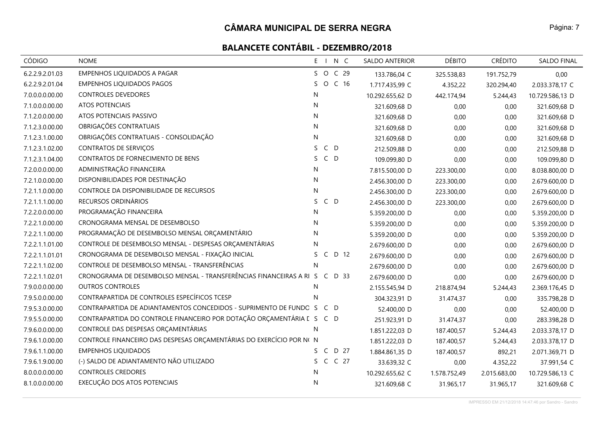# **BALANCETE CONTÁBIL - DEZEMBRO/2018**

| <b>CÓDIGO</b>   | <b>NOME</b>                                                                | E I N C                    | SALDO ANTERIOR  | <b>DÉBITO</b> | <b>CRÉDITO</b> | <b>SALDO FINAL</b> |
|-----------------|----------------------------------------------------------------------------|----------------------------|-----------------|---------------|----------------|--------------------|
| 6.2.2.9.2.01.03 | <b>EMPENHOS LIQUIDADOS A PAGAR</b>                                         | S O<br>C <sub>29</sub>     | 133.786,04 C    | 325.538,83    | 191.752,79     | 0,00               |
| 6.2.2.9.2.01.04 | <b>EMPENHOS LIQUIDADOS PAGOS</b>                                           | S O C 16                   | 1.717.435,99 C  | 4.352,22      | 320.294,40     | 2.033.378,17 C     |
| 7.0.0.0.0.00.00 | <b>CONTROLES DEVEDORES</b>                                                 | N                          | 10.292.655,62 D | 442.174,94    | 5.244,43       | 10.729.586,13 D    |
| 7.1.0.0.0.00.00 | <b>ATOS POTENCIAIS</b>                                                     | N                          | 321.609,68 D    | 0,00          | 0,00           | 321.609,68 D       |
| 7.1.2.0.0.00.00 | ATOS POTENCIAIS PASSIVO                                                    | N                          | 321.609,68 D    | 0,00          | 0,00           | 321.609,68 D       |
| 7.1.2.3.0.00.00 | OBRIGAÇÕES CONTRATUAIS                                                     | N                          | 321.609,68 D    | 0,00          | 0,00           | 321.609,68 D       |
| 7.1.2.3.1.00.00 | OBRIGAÇÕES CONTRATUAIS - CONSOLIDAÇÃO                                      | N                          | 321.609,68 D    | 0,00          | 0,00           | 321.609,68 D       |
| 7.1.2.3.1.02.00 | <b>CONTRATOS DE SERVIÇOS</b>                                               | $C$ D<br>S.                | 212.509,88 D    | 0,00          | 0,00           | 212.509,88 D       |
| 7.1.2.3.1.04.00 | CONTRATOS DE FORNECIMENTO DE BENS                                          | S.<br>$C$ D                | 109.099,80 D    | 0,00          | 0,00           | 109.099,80 D       |
| 7.2.0.0.0.00.00 | ADMINISTRAÇÃO FINANCEIRA                                                   | N                          | 7.815.500,00 D  | 223.300,00    | 0,00           | 8.038.800,00 D     |
| 7.2.1.0.0.00.00 | DISPONIBILIDADES POR DESTINAÇÃO                                            | N                          | 2.456.300,00 D  | 223.300,00    | 0,00           | 2.679.600,00 D     |
| 7.2.1.1.0.00.00 | CONTROLE DA DISPONIBILIDADE DE RECURSOS                                    | N                          | 2.456.300,00 D  | 223.300,00    | 0,00           | 2.679.600,00 D     |
| 7.2.1.1.1.00.00 | RECURSOS ORDINÁRIOS                                                        | $C$ D<br>S.                | 2.456.300,00 D  | 223.300,00    | 0,00           | 2.679.600,00 D     |
| 7.2.2.0.0.00.00 | PROGRAMAÇÃO FINANCEIRA                                                     | N                          | 5.359.200,00 D  | 0,00          | 0,00           | 5.359.200,00 D     |
| 7.2.2.1.0.00.00 | CRONOGRAMA MENSAL DE DESEMBOLSO                                            | N                          | 5.359.200,00 D  | 0,00          | 0,00           | 5.359.200,00 D     |
| 7.2.2.1.1.00.00 | PROGRAMAÇÃO DE DESEMBOLSO MENSAL ORÇAMENTÁRIO                              | N                          | 5.359.200,00 D  | 0,00          | 0,00           | 5.359.200,00 D     |
| 7.2.2.1.1.01.00 | CONTROLE DE DESEMBOLSO MENSAL - DESPESAS ORÇAMENTÁRIAS                     | N                          | 2.679.600,00 D  | 0,00          | 0,00           | 2.679.600,00 D     |
| 7.2.2.1.1.01.01 | CRONOGRAMA DE DESEMBOLSO MENSAL - FIXAÇÃO INICIAL                          | S.<br>$\mathsf{C}$<br>D 12 | 2.679.600,00 D  | 0,00          | 0,00           | 2.679.600,00 D     |
| 7.2.2.1.1.02.00 | CONTROLE DE DESEMBOLSO MENSAL - TRANSFERÊNCIAS                             | N                          | 2.679.600,00 D  | 0,00          | 0,00           | 2.679.600,00 D     |
| 7.2.2.1.1.02.01 | CRONOGRAMA DE DESEMBOLSO MENSAL - TRANSFERÊNCIAS FINANCEIRAS A RI S C D 33 |                            | 2.679.600,00 D  | 0,00          | 0,00           | 2.679.600,00 D     |
| 7.9.0.0.0.00.00 | <b>OUTROS CONTROLES</b>                                                    | N                          | 2.155.545,94 D  | 218.874,94    | 5.244,43       | 2.369.176,45 D     |
| 7.9.5.0.0.00.00 | CONTRAPARTIDA DE CONTROLES ESPECÍFICOS TCESP                               | N                          | 304.323,91 D    | 31.474,37     | 0,00           | 335.798,28 D       |
| 7.9.5.3.0.00.00 | CONTRAPARTIDA DE ADIANTAMENTOS CONCEDIDOS - SUPRIMENTO DE FUNDC S          | C D                        | 52.400,00 D     | 0,00          | 0,00           | 52.400,00 D        |
| 7.9.5.5.0.00.00 | CONTRAPARTIDA DO CONTROLE FINANCEIRO POR DOTAÇÃO ORÇAMENTÁRIA [ S C D      |                            | 251.923,91 D    | 31.474,37     | 0,00           | 283.398,28 D       |
| 7.9.6.0.0.00.00 | CONTROLE DAS DESPESAS ORÇAMENTÁRIAS                                        | N.                         | 1.851.222,03 D  | 187.400,57    | 5.244,43       | 2.033.378,17 D     |
| 7.9.6.1.0.00.00 | CONTROLE FINANCEIRO DAS DESPESAS ORÇAMENTÁRIAS DO EXERCÍCIO POR N( N       |                            | 1.851.222,03 D  | 187.400,57    | 5.244,43       | 2.033.378,17 D     |
| 7.9.6.1.1.00.00 | <b>EMPENHOS LIQUIDADOS</b>                                                 | D 27<br>S C                | 1.884.861,35 D  | 187.400,57    | 892,21         | 2.071.369,71 D     |
| 7.9.6.1.9.00.00 | (-) SALDO DE ADIANTAMENTO NÃO UTILIZADO                                    | C C 27<br>S.               | 33.639,32 C     | 0,00          | 4.352,22       | 37.991,54 C        |
| 8.0.0.0.0.00.00 | <b>CONTROLES CREDORES</b>                                                  | N                          | 10.292.655,62 C | 1.578.752,49  | 2.015.683,00   | 10.729.586,13 C    |
| 8.1.0.0.0.00.00 | EXECUÇÃO DOS ATOS POTENCIAIS                                               | N                          | 321.609,68 C    | 31.965,17     | 31.965,17      | 321.609,68 C       |

IMPRESSO EM 21/12/2018 14:47:46 por Sandro - Sandro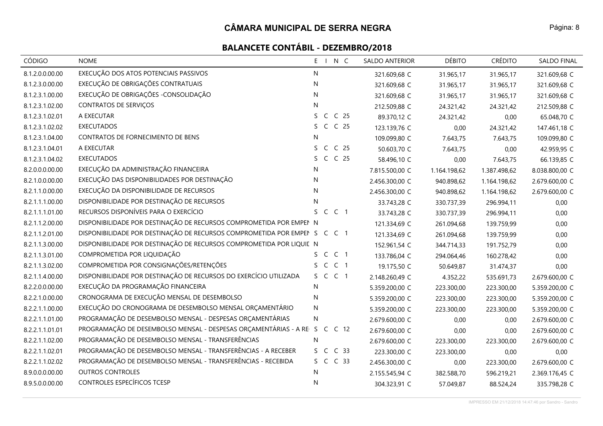| <b>CÓDIGO</b>   | <b>NOME</b>                                                                   | N C<br>E               | SALDO ANTERIOR | <b>DÉBITO</b> | <b>CRÉDITO</b> | <b>SALDO FINAL</b> |
|-----------------|-------------------------------------------------------------------------------|------------------------|----------------|---------------|----------------|--------------------|
| 8.1.2.0.0.00.00 | EXECUÇÃO DOS ATOS POTENCIAIS PASSIVOS                                         | N                      | 321.609,68 C   | 31.965,17     | 31.965,17      | 321.609,68 C       |
| 8.1.2.3.0.00.00 | EXECUÇÃO DE OBRIGAÇÕES CONTRATUAIS                                            | N.                     | 321.609,68 C   | 31.965,17     | 31.965,17      | 321.609,68 C       |
| 8.1.2.3.1.00.00 | EXECUÇÃO DE OBRIGAÇÕES - CONSOLIDAÇÃO                                         | $\mathsf{N}$           | 321.609,68 C   | 31.965,17     | 31.965,17      | 321.609,68 C       |
| 8.1.2.3.1.02.00 | CONTRATOS DE SERVIÇOS                                                         | N                      | 212.509,88 C   | 24.321,42     | 24.321,42      | 212.509,88 C       |
| 8.1.2.3.1.02.01 | A EXECUTAR                                                                    | S C C 25               | 89.370,12 C    | 24.321,42     | 0,00           | 65.048,70 C        |
| 8.1.2.3.1.02.02 | <b>EXECUTADOS</b>                                                             | S C C 25               | 123.139,76 C   | 0,00          | 24.321,42      | 147.461,18 C       |
| 8.1.2.3.1.04.00 | CONTRATOS DE FORNECIMENTO DE BENS                                             | N                      | 109.099,80 C   | 7.643,75      | 7.643,75       | 109.099,80 C       |
| 8.1.2.3.1.04.01 | A EXECUTAR                                                                    | S C C 25               | 50.603,70 C    | 7.643,75      | 0,00           | 42.959,95 C        |
| 8.1.2.3.1.04.02 | <b>EXECUTADOS</b>                                                             | C C 25<br>S.           | 58.496,10 C    | 0,00          | 7.643,75       | 66.139,85 C        |
| 8.2.0.0.0.00.00 | EXECUÇÃO DA ADMINISTRAÇÃO FINANCEIRA                                          | ${\sf N}$              | 7.815.500,00 C | 1.164.198,62  | 1.387.498,62   | 8.038.800,00 C     |
| 8.2.1.0.0.00.00 | EXECUÇÃO DAS DISPONIBILIDADES POR DESTINAÇÃO                                  | N                      | 2.456.300,00 C | 940.898,62    | 1.164.198,62   | 2.679.600,00 C     |
| 8.2.1.1.0.00.00 | EXECUÇÃO DA DISPONIBILIDADE DE RECURSOS                                       | $\mathsf{N}$           | 2.456.300,00 C | 940.898,62    | 1.164.198,62   | 2.679.600,00 C     |
| 8.2.1.1.1.00.00 | DISPONIBILIDADE POR DESTINAÇÃO DE RECURSOS                                    | N                      | 33.743,28 C    | 330.737,39    | 296.994,11     | 0,00               |
| 8.2.1.1.1.01.00 | RECURSOS DISPONÍVEIS PARA O EXERCÍCIO                                         | C C 1<br>S.            | 33.743,28 C    | 330.737,39    | 296.994,11     | 0,00               |
| 8.2.1.1.2.00.00 | DISPONIBILIDADE POR DESTINAÇÃO DE RECURSOS COMPROMETIDA POR EMPEN N           |                        | 121.334,69 C   | 261.094,68    | 139.759,99     | 0,00               |
| 8.2.1.1.2.01.00 | DISPONIBILIDADE POR DESTINAÇÃO DE RECURSOS COMPROMETIDA POR EMPENSION CONTROL |                        | 121.334,69 C   | 261.094,68    | 139.759,99     | 0,00               |
| 8.2.1.1.3.00.00 | DISPONIBILIDADE POR DESTINAÇÃO DE RECURSOS COMPROMETIDA POR LIQUIE N          |                        | 152.961,54 C   | 344.714,33    | 191.752,79     | 0,00               |
| 8.2.1.1.3.01.00 | COMPROMETIDA POR LIQUIDAÇÃO                                                   | S C C 1                | 133.786,04 C   | 294.064,46    | 160.278,42     | 0,00               |
| 8.2.1.1.3.02.00 | COMPROMETIDA POR CONSIGNAÇÕES/RETENÇÕES                                       | S C C 1                | 19.175,50 C    | 50.649,87     | 31.474,37      | 0,00               |
| 8.2.1.1.4.00.00 | DISPONIBILIDADE POR DESTINAÇÃO DE RECURSOS DO EXERCÍCIO UTILIZADA             | S C C 1                | 2.148.260,49 C | 4.352,22      | 535.691,73     | 2.679.600,00 C     |
| 8.2.2.0.0.00.00 | EXECUÇÃO DA PROGRAMAÇÃO FINANCEIRA                                            | N.                     | 5.359.200,00 C | 223.300,00    | 223.300,00     | 5.359.200,00 C     |
| 8.2.2.1.0.00.00 | CRONOGRAMA DE EXECUÇÃO MENSAL DE DESEMBOLSO                                   | N                      | 5.359.200,00 C | 223.300,00    | 223.300,00     | 5.359.200,00 C     |
| 8.2.2.1.1.00.00 | EXECUÇÃO DO CRONOGRAMA DE DESEMBOLSO MENSAL ORÇAMENTÁRIO                      | N                      | 5.359.200,00 C | 223.300,00    | 223.300,00     | 5.359.200,00 C     |
| 8.2.2.1.1.01.00 | PROGRAMAÇÃO DE DESEMBOLSO MENSAL - DESPESAS ORÇAMENTÁRIAS                     | N                      | 2.679.600,00 C | 0,00          | 0,00           | 2.679.600,00 C     |
| 8.2.2.1.1.01.01 | PROGRAMAÇÃO DE DESEMBOLSO MENSAL - DESPESAS ORÇAMENTÁRIAS - A RE S            | C C 12                 | 2.679.600,00 C | 0,00          | 0,00           | 2.679.600,00 C     |
| 8.2.2.1.1.02.00 | PROGRAMAÇÃO DE DESEMBOLSO MENSAL - TRANSFERÊNCIAS                             | N                      | 2.679.600,00 C | 223.300,00    | 223.300,00     | 2.679.600,00 C     |
| 8.2.2.1.1.02.01 | PROGRAMAÇÃO DE DESEMBOLSO MENSAL - TRANSFERÊNCIAS - A RECEBER                 | C <sub>33</sub><br>S C | 223.300,00 C   | 223.300,00    | 0,00           | 0,00               |
| 8.2.2.1.1.02.02 | PROGRAMAÇÃO DE DESEMBOLSO MENSAL - TRANSFERÊNCIAS - RECEBIDA                  | S C C 33               | 2.456.300,00 C | 0,00          | 223.300,00     | 2.679.600,00 C     |
| 8.9.0.0.0.00.00 | <b>OUTROS CONTROLES</b>                                                       | N                      | 2.155.545,94 C | 382.588,70    | 596.219,21     | 2.369.176,45 C     |
| 8.9.5.0.0.00.00 | CONTROLES ESPECÍFICOS TCESP                                                   | N                      | 304.323,91 C   | 57.049,87     | 88.524,24      | 335.798,28 C       |